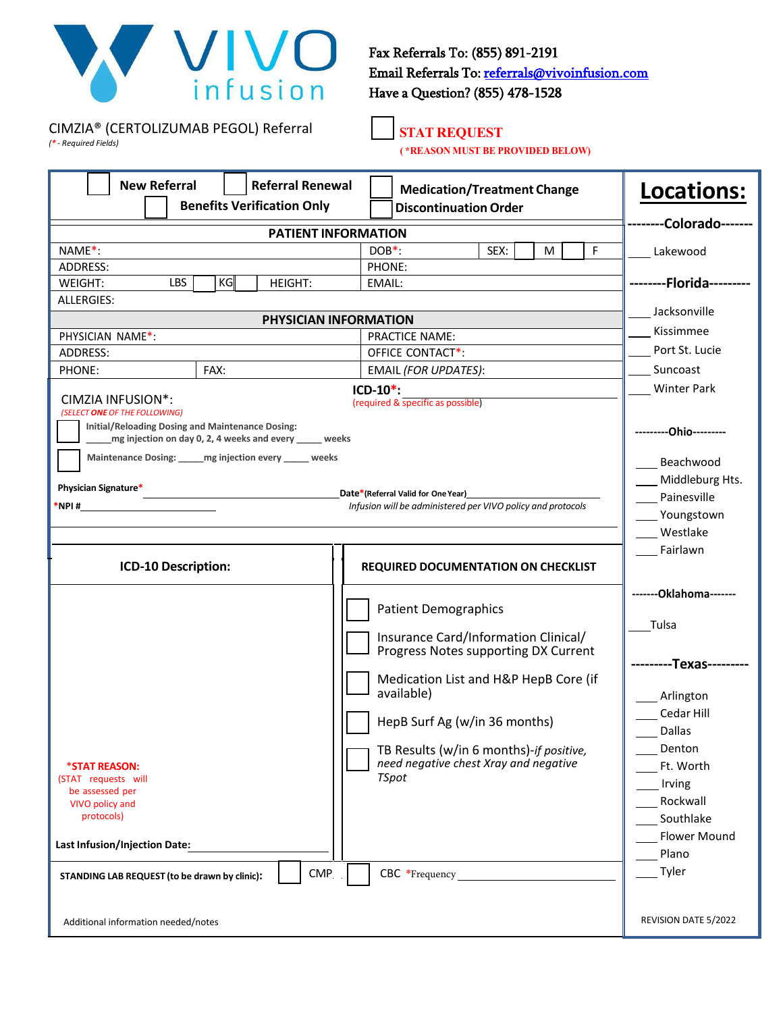

Fax Referrals To: (855) 891-2191 [Email Referrals To: referrals@vivoinfusion.com](mailto:referrals@vivoinfusion.com) Have a Question? (855) 478-1528

CIMZIA® (CERTOLIZUMAB PEGOL) Referral *(\* - Required Fields)*

## **STAT REQUEST**

**( \*REASON MUST BE PROVIDED BELOW)**

| <b>New Referral</b><br><b>Referral Renewal</b>                                    | <b>Medication/Treatment Change</b>                                               | Locations:              |
|-----------------------------------------------------------------------------------|----------------------------------------------------------------------------------|-------------------------|
| <b>Benefits Verification Only</b>                                                 | <b>Discontinuation Order</b>                                                     |                         |
| <b>PATIENT INFORMATION</b>                                                        |                                                                                  | ------Colorado-------   |
| NAME*:                                                                            | F<br>SEX:<br>M<br>$DOB^*$ :                                                      | Lakewood                |
| ADDRESS:                                                                          | PHONE:                                                                           |                         |
| KG<br><b>LBS</b><br><b>WEIGHT:</b><br><b>HEIGHT:</b>                              | EMAIL:                                                                           | --------Florida-        |
| <b>ALLERGIES:</b>                                                                 |                                                                                  | Jacksonville            |
| PHYSICIAN INFORMATION                                                             |                                                                                  | Kissimmee               |
| PHYSICIAN NAME*:<br>ADDRESS:                                                      | <b>PRACTICE NAME:</b><br>OFFICE CONTACT*:                                        | Port St. Lucie          |
| FAX:<br>PHONE:                                                                    | EMAIL (FOR UPDATES):                                                             | Suncoast                |
|                                                                                   | $ICD-10^*$ :                                                                     | <b>Winter Park</b>      |
| CIMZIA INFUSION <sup>*</sup> :                                                    | (required & specific as possible)                                                |                         |
| (SELECT ONE OF THE FOLLOWING)<br>Initial/Reloading Dosing and Maintenance Dosing: |                                                                                  |                         |
| mg injection on day 0, 2, 4 weeks and every _____ weeks                           |                                                                                  | -------Ohio---------    |
| Maintenance Dosing: mg injection every _____ weeks                                |                                                                                  | Beachwood               |
|                                                                                   |                                                                                  | Middleburg Hts.         |
| Physician Signature*                                                              | Date*(Referral Valid for One Year)                                               | Painesville             |
| $*$ NPI#                                                                          | Infusion will be administered per VIVO policy and protocols                      | Youngstown              |
|                                                                                   |                                                                                  | Westlake                |
|                                                                                   |                                                                                  | Fairlawn                |
| ICD-10 Description:                                                               | <b>REQUIRED DOCUMENTATION ON CHECKLIST</b>                                       |                         |
|                                                                                   |                                                                                  | ------- Oklahoma------- |
|                                                                                   | <b>Patient Demographics</b>                                                      |                         |
|                                                                                   |                                                                                  | Tulsa                   |
|                                                                                   | Insurance Card/Information Clinical/<br>Progress Notes supporting DX Current     |                         |
|                                                                                   |                                                                                  | --Texas--               |
|                                                                                   | Medication List and H&P HepB Core (if                                            |                         |
|                                                                                   | available)                                                                       | Arlington               |
|                                                                                   | HepB Surf Ag (w/in 36 months)                                                    | Cedar Hill              |
|                                                                                   |                                                                                  | <b>Dallas</b>           |
| *STAT REASON:                                                                     | TB Results (w/in 6 months)-if positive,<br>need negative chest Xray and negative | Denton<br>Ft. Worth     |
| (STAT requests will                                                               | <b>TSpot</b>                                                                     | Irving                  |
| be assessed per                                                                   |                                                                                  | Rockwall                |
| VIVO policy and<br>protocols)                                                     |                                                                                  | Southlake               |
|                                                                                   |                                                                                  | <b>Flower Mound</b>     |
| <b>Last Infusion/Injection Date:</b>                                              |                                                                                  | Plano                   |
| <b>CMP</b><br>STANDING LAB REQUEST (to be drawn by clinic):                       | CBC *Frequency                                                                   | Tyler                   |
| Additional information needed/notes                                               |                                                                                  | REVISION DATE 5/2022    |
|                                                                                   |                                                                                  |                         |